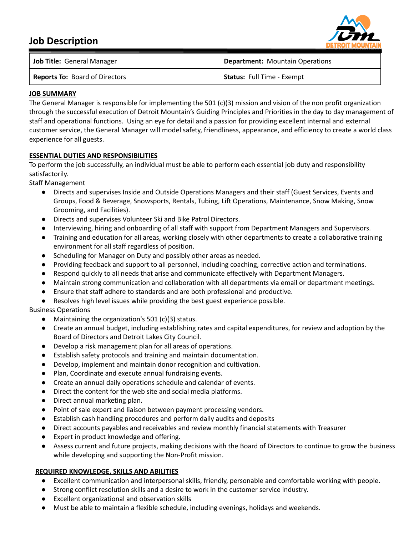# **Job Description**



| Job Title: General Manager            | <sup>I</sup> Department: Mountain Operations |
|---------------------------------------|----------------------------------------------|
| <b>Reports To: Board of Directors</b> | <b>Status: Full Time - Exempt</b>            |

#### **JOB SUMMARY**

The General Manager is responsible for implementing the 501 (c)(3) mission and vision of the non profit organization through the successful execution of Detroit Mountain's Guiding Principles and Priorities in the day to day management of staff and operational functions. Using an eye for detail and a passion for providing excellent internal and external customer service, the General Manager will model safety, friendliness, appearance, and efficiency to create a world class experience for all guests.

## **ESSENTIAL DUTIES AND RESPONSIBILITIES**

To perform the job successfully, an individual must be able to perform each essential job duty and responsibility satisfactorily.

Staff Management

- Directs and supervises Inside and Outside Operations Managers and their staff (Guest Services, Events and Groups, Food & Beverage, Snowsports, Rentals, Tubing, Lift Operations, Maintenance, Snow Making, Snow Grooming, and Facilities).
- Directs and supervises Volunteer Ski and Bike Patrol Directors.
- Interviewing, hiring and onboarding of all staff with support from Department Managers and Supervisors.
- Training and education for all areas, working closely with other departments to create a collaborative training environment for all staff regardless of position.
- Scheduling for Manager on Duty and possibly other areas as needed.
- Providing feedback and support to all personnel, including coaching, corrective action and terminations.
- Respond quickly to all needs that arise and communicate effectively with Department Managers.
- Maintain strong communication and collaboration with all departments via email or department meetings.
- Ensure that staff adhere to standards and are both professional and productive.
- Resolves high level issues while providing the best guest experience possible.

## Business Operations

- Maintaining the organization's 501 (c)(3) status.
- Create an annual budget, including establishing rates and capital expenditures, for review and adoption by the Board of Directors and Detroit Lakes City Council.
- Develop a risk management plan for all areas of operations.
- Establish safety protocols and training and maintain documentation.
- Develop, implement and maintain donor recognition and cultivation.
- Plan, Coordinate and execute annual fundraising events.
- Create an annual daily operations schedule and calendar of events.
- Direct the content for the web site and social media platforms.
- Direct annual marketing plan.
- Point of sale expert and liaison between payment processing vendors.
- Establish cash handling procedures and perform daily audits and deposits
- Direct accounts payables and receivables and review monthly financial statements with Treasurer
- Expert in product knowledge and offering.
- Assess current and future projects, making decisions with the Board of Directors to continue to grow the business while developing and supporting the Non-Profit mission.

## **REQUIRED KNOWLEDGE, SKILLS AND ABILITIES**

- Excellent communication and interpersonal skills, friendly, personable and comfortable working with people.
- Strong conflict resolution skills and a desire to work in the customer service industry.
- Excellent organizational and observation skills
- Must be able to maintain a flexible schedule, including evenings, holidays and weekends.